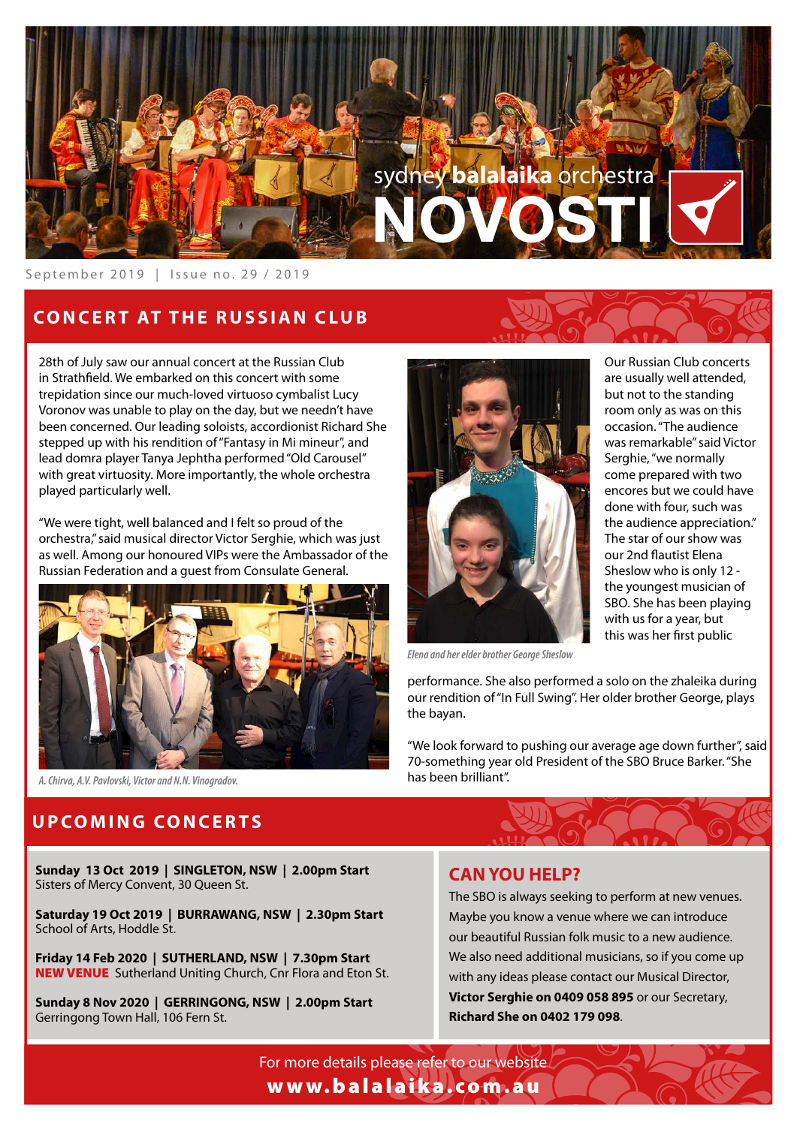

September 2019 | Issue no. 29 / 2019

## **CONCERT AT THE RUSSIAN CLUB**

28th of July saw our annual concert at the Russian Club in Strathfeld. We embarked on this concert with some trepidation since our much-loved virtuoso cymbalist Lucy Voronov was unable to play on the day, but we needn't have been concerned. Our leading soloists, accordionist Richard She stepped up with his rendition of "Fantasy in Mi mineur", and lead domra player Tanya Jephtha performed "Old Carousel" with great virtuosity. More importantly, the whole orchestra played particularly well.

"We were tight, well balanced and I felt so proud of the orchestra," said musical director Victor Serghie, which was just as well. Among our honoured VIPs were the Ambassador of the Russian Federation and a guest from Consulate General.





occasion. "The audience was remarkable" said Victor Serghie, "we normally come prepared with two encores but we could have done with four, such was the audience appreciation." The star of our show was our 2nd fautist Elena Sheslow who is only 12 the youngest musician of SBO. She has been playing with us for a year, but this was her frst public

Our Russian Club concerts are usually well attended, but not to the standing room only as was on this

*Elena and her elder brother George Sheslow*

performance. She also performed a solo on the zhaleika during our rendition of "In Full Swing". Her older brother George, plays the bayan.

"We look forward to pushing our average age down further", said 70-something year old President of the SBO Bruce Barker. "She

*A. Chirva, A.V. Pavlovski, Victor and N.N. Vinogradov.* has been brilliant".

### **UPCOMING CONCERTS**

**Sunday 13 Oct 2019 | SINGLETON, NSW | 2.00pm Start** Sisters of Mercy Convent, 30 Queen St.

**Saturday 19 Oct 2019 | BURRAWANG, NSW | 2.30pm Start** School of Arts, Hoddle St.

**Friday 14 Feb 2020 | SUTHERLAND, NSW | 7.30pm Start**  NEW VENUE Sutherland Uniting Church, Cnr Flora and Eton St.

**Sunday 8 Nov 2020 | GERRINGONG, NSW | 2.00pm Start** Gerringong Town Hall, 106 Fern St.

#### **CAN YOU HELP?**

The SBO is always seeking to perform at new venues. Maybe you know a venue where we can introduce our beautiful Russian folk music to a new audience. We also need additional musicians, so if you come up with any ideas please contact our Musical Director, **Victor Serghie on 0409 058 895** or our Secretary, **Richard She on 0402 179 098**.

For more details please refer to our website www.balalaika.com.au